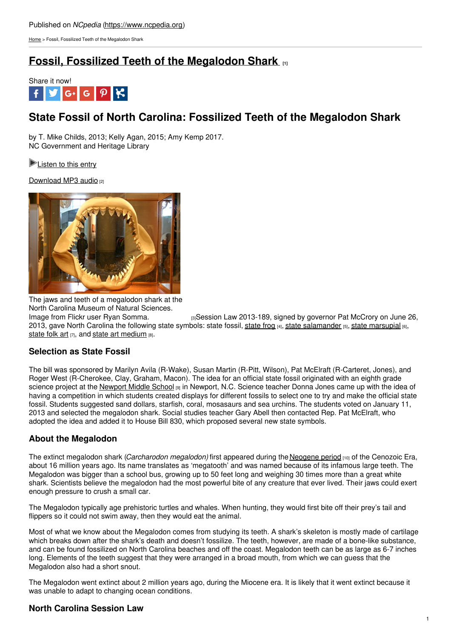[Home](https://www.ncpedia.org/) > Fossil, Fossilized Teeth of the Megalodon Shark

# **Fossil, Fossilized Teeth of the [Megalodon](https://www.ncpedia.org/fossil-fossilized-teeth-megalodon) Shark [1]**



# **State Fossil of North Carolina: Fossilized Teeth of the Megalodon Shark**

by T. Mike Childs, 2013; Kelly Agan, 2015; Amy Kemp 2017. NC Government and Heritage Library

**[Listen](https://www.ncpedia.org/fossil-fossilized-teeth-megalodon#audio) to this entry** 

[Download](https://drive.google.com/file/d/0B_x0CcarngwueDlvakF4a1VwTDQ/edit?usp=sharing) MP3 audio [2]



The jaws and teeth of a megalodon shark at the North Carolina Museum of Natural Sciences.

Image from Flickr user Ryan [Somma.](https://www.flickr.com/photos/14405058@N08/2289004690/) **[3]** session Law 2013-189, signed by governor Pat McCrory on June 26, 2013, gave North Carolina the following [state](https://www.ncpedia.org/frog-pine-barren-treefrog) symbols: state fossil, state frog [4], state [salamander](https://www.ncpedia.org/symbols/salamander) [5], state [marsupial](https://www.ncpedia.org/marsupial-virginia-opossom) [6], [state](https://www.ncpedia.org/symbols/folk-art) folk art [7], and state art [medium](https://www.ncpedia.org/symbols/art-medium) [8].

## **Selection as State Fossil**

The bill was sponsored by Marilyn Avila (R-Wake), Susan Martin (R-Pitt, Wilson), Pat McElraft (R-Carteret, Jones), and Roger West (R-Cherokee, Clay, Graham, Macon). The idea for an official state fossil originated with an eighth grade science project at the [Newport](https://nms.carteretcountyschools.org/) Middle School [9] in Newport, N.C. Science teacher Donna Jones came up with the idea of having a competition in which students created displays for different fossils to select one to try and make the official state fossil. Students suggested sand dollars, starfish, coral, mosasaurs and sea urchins. The students voted on January 11, 2013 and selected the megalodon shark. Social studies teacher Gary Abell then contacted Rep. Pat McElraft, who adopted the idea and added it to House Bill 830, which proposed several new state symbols.

## **About the Megalodon**

The extinct megalodon shark (*Carcharodon megalodon)* first appeared during the [Neogene](https://www.nationalgeographic.com/science/) period [10] of the Cenozoic Era, about 16 million years ago. Its name translates as 'megatooth' and was named because of its infamous large teeth. The Megalodon was bigger than a school bus, growing up to 50 feet long and weighing 30 times more than a great white shark. Scientists believe the megalodon had the most powerful bite of any creature that ever lived. Their jaws could exert enough pressure to crush a small car.

The Megalodon typically age prehistoric turtles and whales. When hunting, they would first bite off their prey's tail and flippers so it could not swim away, then they would eat the animal.

Most of what we know about the Megalodon comes from studying its teeth. A shark's skeleton is mostly made of cartilage which breaks down after the shark's death and doesn't fossilize. The teeth, however, are made of a bone-like substance, and can be found fossilized on North Carolina beaches and off the coast. Megalodon teeth can be as large as 6-7 inches long. Elements of the teeth suggest that they were arranged in a broad mouth, from which we can guess that the Megalodon also had a short snout.

The Megalodon went extinct about 2 million years ago, during the Miocene era. It is likely that it went extinct because it was unable to adapt to changing ocean conditions.

## **North Carolina Session Law**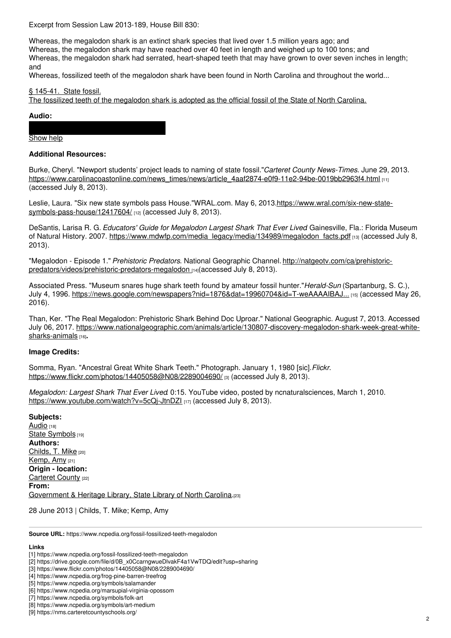Excerpt from Session Law 2013-189, House Bill 830:

Whereas, the megalodon shark is an extinct shark species that lived over 1.5 million years ago; and Whereas, the megalodon shark may have reached over 40 feet in length and weighed up to 100 tons; and Whereas, the megalodon shark had serrated, heart-shaped teeth that may have grown to over seven inches in length; and

Whereas, fossilized teeth of the megalodon shark have been found in North Carolina and throughout the world...

#### § 145-41. State fossil.

The fossilized teeth of the megalodon shark is adopted as the official fossil of the State of North Carolina.

#### **Audio:**

#### [Show](https://www.ncpedia.org/fossil-fossilized-teeth-megalodon#tab3) help **Download File**

#### **Additional Resources:**

Burke, Cheryl. "Newport students' project leads to naming of state fossil."*Carteret County News-Times*. June 29, 2013. [https://www.carolinacoastonline.com/news\\_times/news/article\\_4aaf2874-e0f9-11e2-94be-0019bb2963f4.html](https://www.carolinacoastonline.com/news_times/news/article_4aaf2874-e0f9-11e2-94be-0019bb2963f4.html) [11] (accessed July 8, 2013).

Leslie, Laura. "Six new state symbols pass House."WRAL.com. May 6, [2013.https://www.wral.com/six-new-state](https://www.wral.com/six-new-state-symbols-pass-house/12417604/)symbols-pass-house/12417604/ [12] (accessed July 8, 2013).

DeSantis, Larisa R. G. *Educators' Guide for Megalodon Largest Shark That Ever Lived*. Gainesville, Fla.: Florida Museum of Natural History. 2007. [https://www.mdwfp.com/media\\_legacy/media/134989/megalodon\\_facts.pdf](https://www.mdwfp.com/media_legacy/media/134989/megalodon_facts.pdf) [13] (accessed July 8, 2013).

"Megalodon - Episode 1." *Prehistoric Predators*. National Geographic Channel. http://natgeotv.com/ca/prehistoric[predators/videos/prehistoric-predators-megalodon](https://www.natgeotv.com/ca/prehistoric-predators/videos/prehistoric-predators-megalodon) [14](accessed July 8, 2013).

Associated Press. "Museum snares huge shark teeth found by amateur fossil hunter."*Herald-Sun* (Spartanburg, S. C.), July 4, 1996. [https://news.google.com/newspapers?nid=1876&dat=19960704&id=T-weAAAAIBAJ...](https://news.google.com/newspapers?nid=1876&dat=19960704&id=T-weAAAAIBAJ&sjid=ds8EAAAAIBAJ&pg=6692,665327&hl=en) [15] (accessed May 26, 2016).

Than, Ker. "The Real Megalodon: Prehistoric Shark Behind Doc Uproar." National Geographic. August 7, 2013. Accessed July 06, 2017. [https://www.nationalgeographic.com/animals/article/130807-discovery-megalodon-shark-week-great-white](https://www.nationalgeographic.com/animals/article/130807-discovery-megalodon-shark-week-great-white-sharks-animals)sharks-animals [16]**.**

### **Image Credits:**

Somma, Ryan. "Ancestral Great White Shark Teeth." Photograph. January 1, 1980 [sic].*Flickr*. <https://www.flickr.com/photos/14405058@N08/2289004690/> [3] (accessed July 8, 2013).

*Megalodon: Largest Shark That Ever Lived*. 0:15. YouTube video, posted by ncnaturalsciences, March 1, 2010. <https://www.youtube.com/watch?v=5cQj-JtnDZI> [17] (accessed July 8, 2013).

**Subjects:** [Audio](https://www.ncpedia.org/category/subjects/audio) [18] State [Symbols](https://www.ncpedia.org/category/subjects/state-symbol) [19] **Authors:** [Childs,](https://www.ncpedia.org/category/authors/childs-mike) T. Mike [20] [Kemp,](https://www.ncpedia.org/category/authors/kemp-amy) Amy [21] **Origin - location:** [Carteret](https://www.ncpedia.org/category/origin-location/coastal-15) County [22] **From:** [Government](https://www.ncpedia.org/category/entry-source/government) & Heritage Library, State Library of North Carolina.[23]

28 June 2013 | Childs, T. Mike; Kemp, Amy

**Source URL:** https://www.ncpedia.org/fossil-fossilized-teeth-megalodon

### **Links**

<sup>[1]</sup> https://www.ncpedia.org/fossil-fossilized-teeth-megalodon

<sup>[2]</sup> https://drive.google.com/file/d/0B\_x0CcarngwueDlvakF4a1VwTDQ/edit?usp=sharing

<sup>[3]</sup> https://www.flickr.com/photos/14405058@N08/2289004690/

<sup>[4]</sup> https://www.ncpedia.org/frog-pine-barren-treefrog

<sup>[5]</sup> https://www.ncpedia.org/symbols/salamander

<sup>[6]</sup> https://www.ncpedia.org/marsupial-virginia-opossom

<sup>[7]</sup> https://www.ncpedia.org/symbols/folk-art

<sup>[8]</sup> https://www.ncpedia.org/symbols/art-medium

<sup>[9]</sup> https://nms.carteretcountyschools.org/